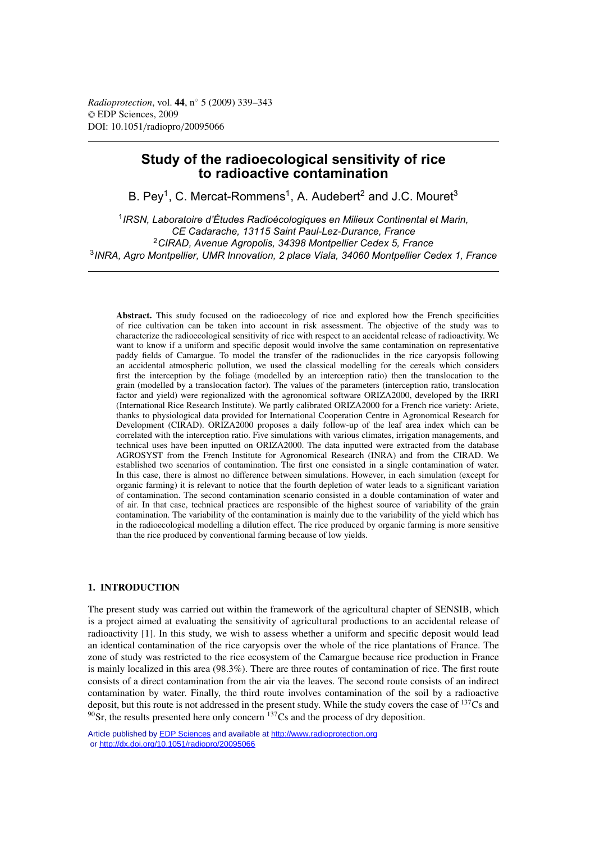*Radioprotection*, vol. **44**, n◦ 5 (2009) 339–343 © EDP Sciences, 2009 DOI: 10.1051/radiopro/20095066

# **Study of the radioecological sensitivity of rice to radioactive contamination**

B. Pey<sup>1</sup>, C. Mercat-Rommens<sup>1</sup>, A. Audebert<sup>2</sup> and J.C. Mouret<sup>3</sup>

*IRSN, Laboratoire d'Études Radioécologiques en Milieux Continental et Marin, CE Cadarache, 13115 Saint Paul-Lez-Durance, France CIRAD, Avenue Agropolis, 34398 Montpellier Cedex 5, France INRA, Agro Montpellier, UMR Innovation, 2 place Viala, 34060 Montpellier Cedex 1, France*

**Abstract.** This study focused on the radioecology of rice and explored how the French specificities of rice cultivation can be taken into account in risk assessment. The objective of the study was to characterize the radioecological sensitivity of rice with respect to an accidental release of radioactivity. We want to know if a uniform and specific deposit would involve the same contamination on representative paddy fields of Camargue. To model the transfer of the radionuclides in the rice caryopsis following an accidental atmospheric pollution, we used the classical modelling for the cereals which considers first the interception by the foliage (modelled by an interception ratio) then the translocation to the grain (modelled by a translocation factor). The values of the parameters (interception ratio, translocation factor and yield) were regionalized with the agronomical software ORIZA2000, developed by the IRRI (International Rice Research Institute). We partly calibrated ORIZA2000 for a French rice variety: Ariete, thanks to physiological data provided for International Cooperation Centre in Agronomical Research for Development (CIRAD). ORIZA2000 proposes a daily follow-up of the leaf area index which can be correlated with the interception ratio. Five simulations with various climates, irrigation managements, and technical uses have been inputted on ORIZA2000. The data inputted were extracted from the database AGROSYST from the French Institute for Agronomical Research (INRA) and from the CIRAD. We established two scenarios of contamination. The first one consisted in a single contamination of water. In this case, there is almost no difference between simulations. However, in each simulation (except for organic farming) it is relevant to notice that the fourth depletion of water leads to a significant variation of contamination. The second contamination scenario consisted in a double contamination of water and of air. In that case, technical practices are responsible of the highest source of variability of the grain contamination. The variability of the contamination is mainly due to the variability of the yield which has in the radioecological modelling a dilution effect. The rice produced by organic farming is more sensitive than the rice produced by conventional farming because of low yields.

## **1. INTRODUCTION**

The present study was carried out within the framework of the agricultural chapter of SENSIB, which is a project aimed at evaluating the sensitivity of agricultural productions to an accidental release of radioactivity [1]. In this study, we wish to assess whether a uniform and specific deposit would lead an identical contamination of the rice caryopsis over the whole of the rice plantations of France. The zone of study was restricted to the rice ecosystem of the Camargue because rice production in France is mainly localized in this area (98.3%). There are three routes of contamination of rice. The first route consists of a direct contamination from the air via the leaves. The second route consists of an indirect contamination by water. Finally, the third route involves contamination of the soil by a radioactive deposit, but this route is not addressed in the present study. While the study covers the case of <sup>137</sup>Cs and  $90\text{Sr}$ , the results presented here only concern  $137\text{Cs}$  and the process of dry deposition.

Article published by [EDP Sciences](http://www.edpsciences.org) and available at<http://www.radioprotection.org> or <http://dx.doi.org/10.1051/radiopro/20095066>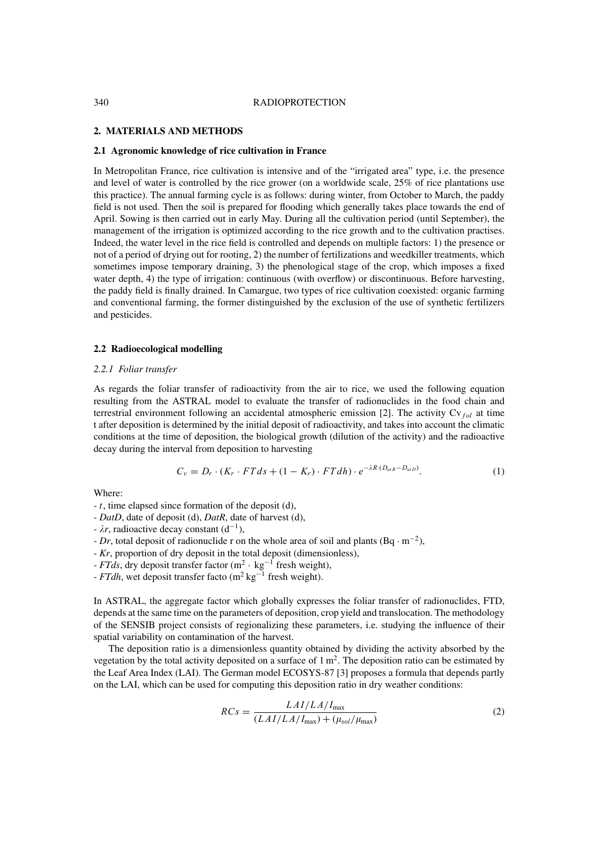#### 340 RADIOPROTECTION

### **2. MATERIALS AND METHODS**

#### **2.1 Agronomic knowledge of rice cultivation in France**

In Metropolitan France, rice cultivation is intensive and of the "irrigated area" type, i.e. the presence and level of water is controlled by the rice grower (on a worldwide scale, 25% of rice plantations use this practice). The annual farming cycle is as follows: during winter, from October to March, the paddy field is not used. Then the soil is prepared for flooding which generally takes place towards the end of April. Sowing is then carried out in early May. During all the cultivation period (until September), the management of the irrigation is optimized according to the rice growth and to the cultivation practises. Indeed, the water level in the rice field is controlled and depends on multiple factors: 1) the presence or not of a period of drying out for rooting, 2) the number of fertilizations and weedkiller treatments, which sometimes impose temporary draining, 3) the phenological stage of the crop, which imposes a fixed water depth, 4) the type of irrigation: continuous (with overflow) or discontinuous. Before harvesting, the paddy field is finally drained. In Camargue, two types of rice cultivation coexisted: organic farming and conventional farming, the former distinguished by the exclusion of the use of synthetic fertilizers and pesticides.

#### **2.2 Radioecological modelling**

#### *2.2.1 Foliar transfer*

As regards the foliar transfer of radioactivity from the air to rice, we used the following equation resulting from the ASTRAL model to evaluate the transfer of radionuclides in the food chain and terrestrial environment following an accidental atmospheric emission [2]. The activity Cv<sub>fol</sub> at time t after deposition is determined by the initial deposit of radioactivity, and takes into account the climatic conditions at the time of deposition, the biological growth (dilution of the activity) and the radioactive decay during the interval from deposition to harvesting

$$
C_v = D_r \cdot (K_r \cdot FTds + (1 - K_r) \cdot FTdh) \cdot e^{-\lambda R \cdot (D_{atR} - D_{atD})}.
$$
 (1)

Where:

- t, time elapsed since formation of the deposit (d),
- *DatD*, date of deposit (d), *DatR*, date of harvest (d),
- $\lambda r$ , radioactive decay constant  $(d^{-1})$ ,
- *Dr*, total deposit of radionuclide r on the whole area of soil and plants (Bq · <sup>m</sup>−2),
- *Kr*, proportion of dry deposit in the total deposit (dimensionless),
- *FTds*, dry deposit transfer factor (m2 · kg−<sup>1</sup> fresh weight),
- *FTdh*, wet deposit transfer facto (m2 kg−<sup>1</sup> fresh weight).

In ASTRAL, the aggregate factor which globally expresses the foliar transfer of radionuclides, FTD, depends at the same time on the parameters of deposition, crop yield and translocation. The methodology of the SENSIB project consists of regionalizing these parameters, i.e. studying the influence of their spatial variability on contamination of the harvest.

The deposition ratio is a dimensionless quantity obtained by dividing the activity absorbed by the vegetation by the total activity deposited on a surface of  $1 \text{ m}^2$ . The deposition ratio can be estimated by the Leaf Area Index (LAI). The German model ECOSYS-87 [3] proposes a formula that depends partly on the LAI, which can be used for computing this deposition ratio in dry weather conditions:

$$
RCs = \frac{LAI/LA/I_{\text{max}}}{(LAI/LA/I_{\text{max}}) + (\mu_{sol}/\mu_{\text{max}})}
$$
(2)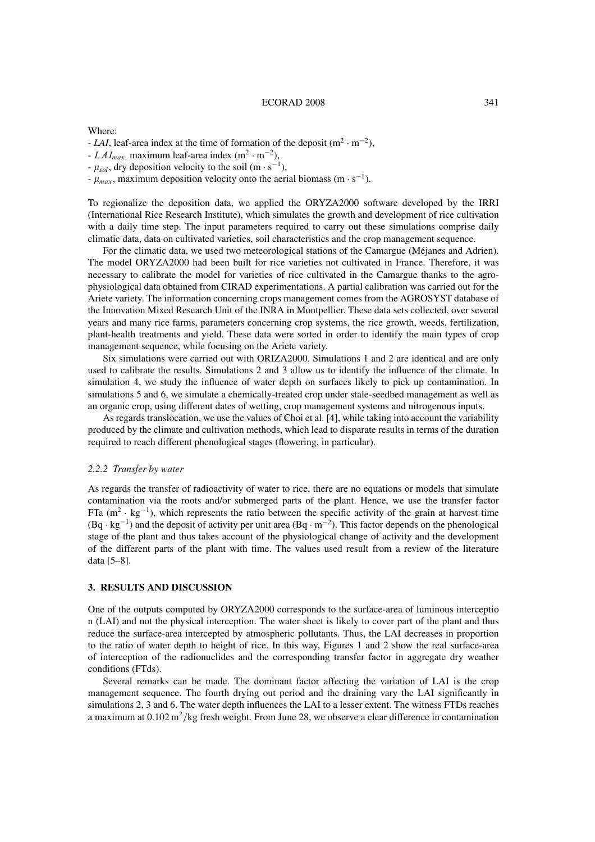Where:

- $-LAI$ , leaf-area index at the time of formation of the deposit (m<sup>2</sup> · m<sup>-2</sup>),
- $LAI_{max}$ , maximum leaf-area index (m<sup>2</sup> · m<sup>-2</sup>),
- $-\mu_{sol}$ , dry deposition velocity to the soil (m · s<sup>-1</sup>),
- $-\mu_{max}$ , maximum deposition velocity onto the aerial biomass (m · s<sup>-1</sup>).

To regionalize the deposition data, we applied the ORYZA2000 software developed by the IRRI (International Rice Research Institute), which simulates the growth and development of rice cultivation with a daily time step. The input parameters required to carry out these simulations comprise daily climatic data, data on cultivated varieties, soil characteristics and the crop management sequence.

For the climatic data, we used two meteorological stations of the Camargue (Méjanes and Adrien). The model ORYZA2000 had been built for rice varieties not cultivated in France. Therefore, it was necessary to calibrate the model for varieties of rice cultivated in the Camargue thanks to the agrophysiological data obtained from CIRAD experimentations. A partial calibration was carried out for the Ariete variety. The information concerning crops management comes from the AGROSYST database of the Innovation Mixed Research Unit of the INRA in Montpellier. These data sets collected, over several years and many rice farms, parameters concerning crop systems, the rice growth, weeds, fertilization, plant-health treatments and yield. These data were sorted in order to identify the main types of crop management sequence, while focusing on the Ariete variety.

Six simulations were carried out with ORIZA2000. Simulations 1 and 2 are identical and are only used to calibrate the results. Simulations 2 and 3 allow us to identify the influence of the climate. In simulation 4, we study the influence of water depth on surfaces likely to pick up contamination. In simulations 5 and 6, we simulate a chemically-treated crop under stale-seedbed management as well as an organic crop, using different dates of wetting, crop management systems and nitrogenous inputs.

As regards translocation, we use the values of Choi et al. [4], while taking into account the variability produced by the climate and cultivation methods, which lead to disparate results in terms of the duration required to reach different phenological stages (flowering, in particular).

#### *2.2.2 Transfer by water*

As regards the transfer of radioactivity of water to rice, there are no equations or models that simulate contamination via the roots and/or submerged parts of the plant. Hence, we use the transfer factor FTa (m<sup>2</sup> · kg<sup>-1</sup>), which represents the ratio between the specific activity of the grain at harvest time  $(Bq \cdot kg^{-1})$  and the deposit of activity per unit area  $(Bq \cdot m^{-2})$ . This factor depends on the phenological stage of the plant and thus takes account of the physiological change of activity and the development of the different parts of the plant with time. The values used result from a review of the literature data [5–8].

## **3. RESULTS AND DISCUSSION**

One of the outputs computed by ORYZA2000 corresponds to the surface-area of luminous interceptio n (LAI) and not the physical interception. The water sheet is likely to cover part of the plant and thus reduce the surface-area intercepted by atmospheric pollutants. Thus, the LAI decreases in proportion to the ratio of water depth to height of rice. In this way, Figures 1 and 2 show the real surface-area of interception of the radionuclides and the corresponding transfer factor in aggregate dry weather conditions (FTds).

Several remarks can be made. The dominant factor affecting the variation of LAI is the crop management sequence. The fourth drying out period and the draining vary the LAI significantly in simulations 2, 3 and 6. The water depth influences the LAI to a lesser extent. The witness FTDs reaches a maximum at  $0.102 \text{ m}^2/\text{kg}$  fresh weight. From June 28, we observe a clear difference in contamination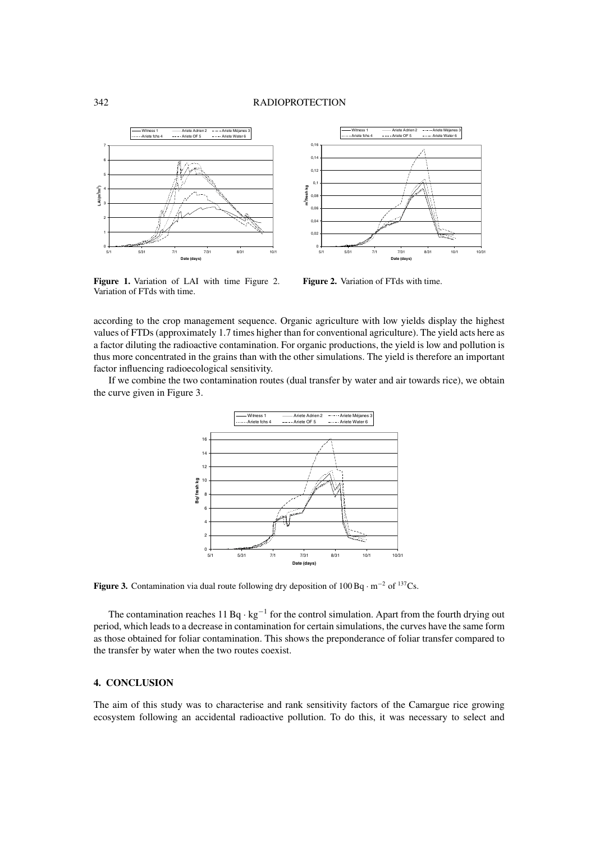## 342 RADIOPROTECTION





Figure 1. Variation of LAI with time Figure 2. Variation of FTds with time.

**Figure 2.** Variation of FTds with time.

according to the crop management sequence. Organic agriculture with low yields display the highest values of FTDs (approximately 1.7 times higher than for conventional agriculture). The yield acts here as a factor diluting the radioactive contamination. For organic productions, the yield is low and pollution is thus more concentrated in the grains than with the other simulations. The yield is therefore an important factor influencing radioecological sensitivity.

If we combine the two contamination routes (dual transfer by water and air towards rice), we obtain the curve given in Figure 3.



**Figure 3.** Contamination via dual route following dry deposition of 100 Bq · m−<sup>2</sup> of 137Cs.

The contamination reaches 11 Bq ·  $kg^{-1}$  for the control simulation. Apart from the fourth drying out period, which leads to a decrease in contamination for certain simulations, the curves have the same form as those obtained for foliar contamination. This shows the preponderance of foliar transfer compared to the transfer by water when the two routes coexist.

## **4. CONCLUSION**

The aim of this study was to characterise and rank sensitivity factors of the Camargue rice growing ecosystem following an accidental radioactive pollution. To do this, it was necessary to select and